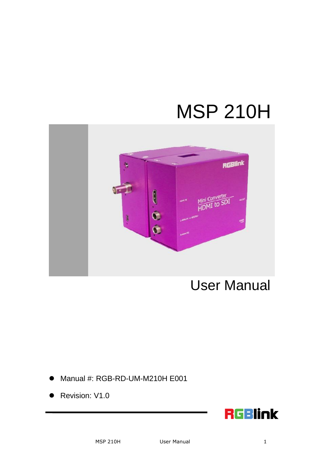# MSP 210H



User Manual

- Manual #: RGB-RD-UM-M210H E001
- Revision: V1.0

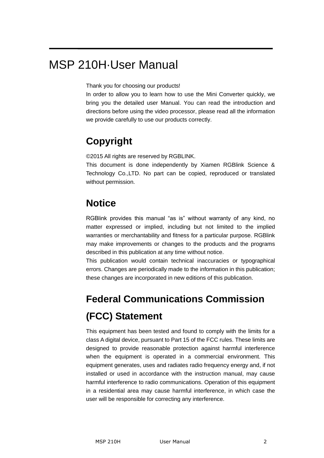## MSP 210H·User Manual

Thank you for choosing our products!

In order to allow you to learn how to use the Mini Converter quickly, we bring you the detailed user Manual. You can read the introduction and directions before using the video processor, please read all the information we provide carefully to use our products correctly.

## **Copyright**

©2015 All rights are reserved by RGBLINK.

This document is done independently by Xiamen RGBlink Science & Technology Co.,LTD. No part can be copied, reproduced or translated without permission.

### **Notice**

RGBlink provides this manual "as is" without warranty of any kind, no matter expressed or implied, including but not limited to the implied warranties or merchantability and fitness for a particular purpose. RGBlink may make improvements or changes to the products and the programs described in this publication at any time without notice.

This publication would contain technical inaccuracies or typographical errors. Changes are periodically made to the information in this publication; these changes are incorporated in new editions of this publication.

## **Federal Communications Commission (FCC) Statement**

This equipment has been tested and found to comply with the limits for a class A digital device, pursuant to Part 15 of the FCC rules. These limits are designed to provide reasonable protection against harmful interference when the equipment is operated in a commercial environment. This equipment generates, uses and radiates radio frequency energy and, if not installed or used in accordance with the instruction manual, may cause harmful interference to radio communications. Operation of this equipment in a residential area may cause harmful interference, in which case the user will be responsible for correcting any interference.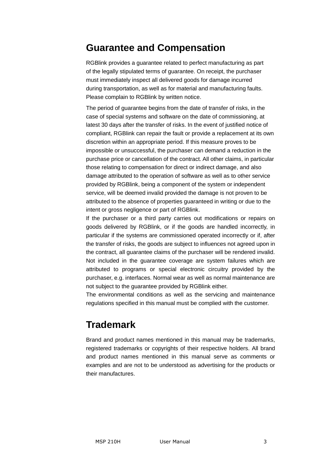#### **Guarantee and Compensation**

RGBlink provides a guarantee related to perfect manufacturing as part of the legally stipulated terms of guarantee. On receipt, the purchaser must immediately inspect all delivered goods for damage incurred during transportation, as well as for material and manufacturing faults. Please complain to RGBlink by written notice.

The period of guarantee begins from the date of transfer of risks, in the case of special systems and software on the date of commissioning, at latest 30 days after the transfer of risks. In the event of justified notice of compliant, RGBlink can repair the fault or provide a replacement at its own discretion within an appropriate period. If this measure proves to be impossible or unsuccessful, the purchaser can demand a reduction in the purchase price or cancellation of the contract. All other claims, in particular those relating to compensation for direct or indirect damage, and also damage attributed to the operation of software as well as to other service provided by RGBlink, being a component of the system or independent service, will be deemed invalid provided the damage is not proven to be attributed to the absence of properties guaranteed in writing or due to the intent or gross negligence or part of RGBlink.

If the purchaser or a third party carries out modifications or repairs on goods delivered by RGBlink, or if the goods are handled incorrectly, in particular if the systems are commissioned operated incorrectly or if, after the transfer of risks, the goods are subject to influences not agreed upon in the contract, all guarantee claims of the purchaser will be rendered invalid. Not included in the guarantee coverage are system failures which are attributed to programs or special electronic circuitry provided by the purchaser, e.g. interfaces. Normal wear as well as normal maintenance are not subject to the guarantee provided by RGBlink either.

The environmental conditions as well as the servicing and maintenance regulations specified in this manual must be complied with the customer.

#### **Trademark**

Brand and product names mentioned in this manual may be trademarks, registered trademarks or copyrights of their respective holders. All brand and product names mentioned in this manual serve as comments or examples and are not to be understood as advertising for the products or their manufactures.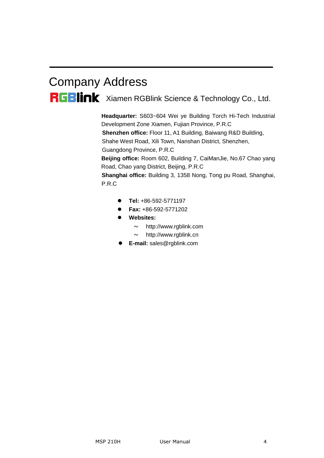# Company Address RGBlink Xiamen RGBlink Science & Technology Co., Ltd.

**Headquarter:** S603~604 Wei ye Building Torch Hi-Tech Industrial Development Zone Xiamen, Fujian Province, P.R.C **Shenzhen office:** Floor 11, A1 Building, Baiwang R&D Building, Shahe West Road, Xili Town, Nanshan District, Shenzhen, Guangdong Province, P.R.C **Beijing office:** Room 602, Building 7, CaiManJie, No.67 Chao yang Road, Chao yang District, Beijing, P.R.C **Shanghai office:** Building 3, 1358 Nong, Tong pu Road, Shanghai, P.R.C

- **Tel:** +86-592-5771197
- **Fax:** +86-592-5771202
- **Websites:** 
	- $\sim$  http://www.rgblink.com
	- $\sim$  http://www.rgblink.cn
- **E-mail:** [sales@rgblink.com](mailto:rgblinkcs@gmail.com)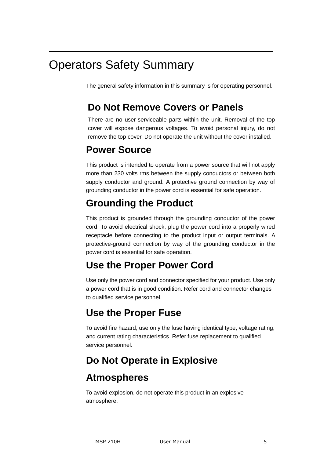## Operators Safety Summary

The general safety information in this summary is for operating personnel.

## **Do Not Remove Covers or Panels**

There are no user-serviceable parts within the unit. Removal of the top cover will expose dangerous voltages. To avoid personal injury, do not remove the top cover. Do not operate the unit without the cover installed.

### **Power Source**

This product is intended to operate from a power source that will not apply more than 230 volts rms between the supply conductors or between both supply conductor and ground. A protective ground connection by way of grounding conductor in the power cord is essential for safe operation.

## **Grounding the Product**

This product is grounded through the grounding conductor of the power cord. To avoid electrical shock, plug the power cord into a properly wired receptacle before connecting to the product input or output terminals. A protective-ground connection by way of the grounding conductor in the power cord is essential for safe operation.

## **Use the Proper Power Cord**

Use only the power cord and connector specified for your product. Use only a power cord that is in good condition. Refer cord and connector changes to qualified service personnel.

## **Use the Proper Fuse**

To avoid fire hazard, use only the fuse having identical type, voltage rating, and current rating characteristics. Refer fuse replacement to qualified service personnel.

## **Do Not Operate in Explosive**

## **Atmospheres**

To avoid explosion, do not operate this product in an explosive atmosphere.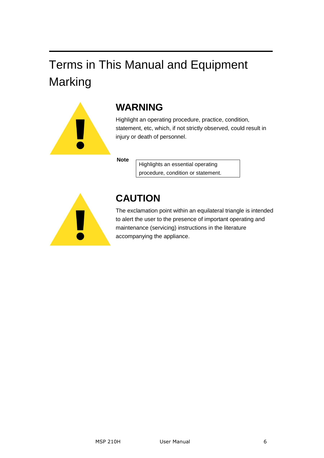# Terms in This Manual and Equipment Marking



## **WARNING**

Highlight an operating procedure, practice, condition, statement, etc, which, if not strictly observed, could result in injury or death of personnel.

**Note**

Highlights an essential operating procedure, condition or statement.



## **CAUTION**

The exclamation point within an equilateral triangle is intended to alert the user to the presence of important operating and maintenance (servicing) instructions in the literature accompanying the appliance.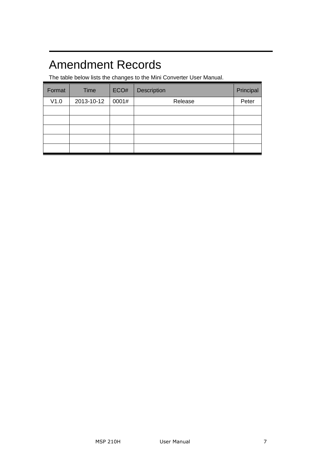# Amendment Records

The table below lists the changes to the Mini Converter User Manual.

| Format | Time       | ECO#  | Description | Principal |
|--------|------------|-------|-------------|-----------|
| V1.0   | 2013-10-12 | 0001# | Release     | Peter     |
|        |            |       |             |           |
|        |            |       |             |           |
|        |            |       |             |           |
|        |            |       |             |           |
|        |            |       |             |           |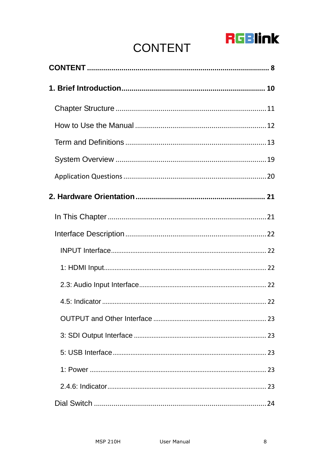# **RGBlink**

# **CONTENT**

<span id="page-7-0"></span>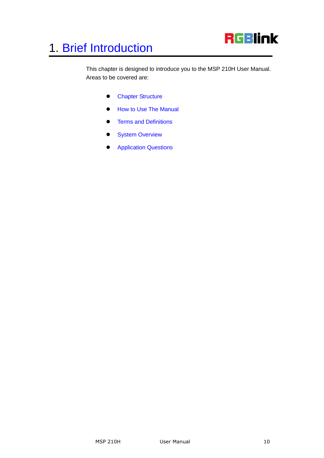

<span id="page-9-2"></span><span id="page-9-1"></span><span id="page-9-0"></span>This chapter is designed to introduce you to the MSP 210H User Manual. Areas to be covered are:

- **•** [Chapter Structure](#page-10-0)
- [How to Use The Manual](#page-11-0)
- <span id="page-9-3"></span>**•** [Terms and Definitions](#page-12-0)
- <span id="page-9-4"></span>• [System Overview](#page-18-0)
- <span id="page-9-5"></span>**•** [Application Questions](#page-19-0)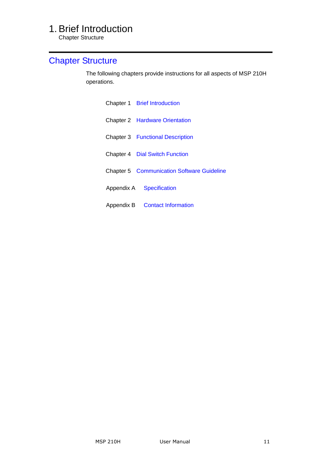Chapter Structure

### <span id="page-10-2"></span><span id="page-10-1"></span><span id="page-10-0"></span>[Chapter Structure](#page-9-1)

The following chapters provide instructions for all aspects of MSP 210H operations.

<span id="page-10-7"></span><span id="page-10-6"></span><span id="page-10-5"></span><span id="page-10-4"></span><span id="page-10-3"></span>

| Chapter 1 Brief Introduction                      |
|---------------------------------------------------|
| <b>Chapter 2 Hardware Orientation</b>             |
| <b>Chapter 3 Functional Description</b>           |
| <b>Chapter 4 Dial Switch Function</b>             |
| <b>Chapter 5 Communication Software Guideline</b> |
| Appendix A Specification                          |
| Appendix B Contact Information                    |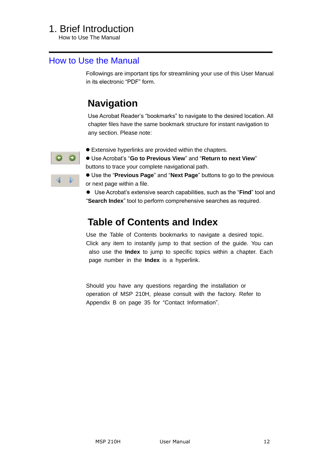How to Use The Manual

#### <span id="page-11-0"></span>[How to Use the Manual](#page-9-2)

Followings are important tips for streamlining your use of this User Manual in its electronic "PDF" form.

## **Navigation**

Use Acrobat Reader's "bookmarks" to navigate to the desired location. All chapter files have the same bookmark structure for instant navigation to any section. Please note:



- Extensive hyperlinks are provided within the chapters.
- $\bullet$  Use Acrobat's "Go to Previous View" and "Return to next View" buttons to trace your complete navigational path.

● Use the "Previous Page" and "Next Page" buttons to go to the previous or next page within a file.

● Use Acrobat's extensive search capabilities, such as the "**Find**" tool and ―**Search Index**‖ tool to perform comprehensive searches as required.

### **Table of Contents and Index**

Use the Table of Contents bookmarks to navigate a desired topic. Click any item to instantly jump to that section of the guide. You can also use the **Index** to jump to specific topics within a chapter. Each page number in the **Index** is a hyperlink.

Should you have any questions regarding the installation or operation of MSP 210H, please consult with the factory. Refer to Appendix B on page 35 for "Contact Information".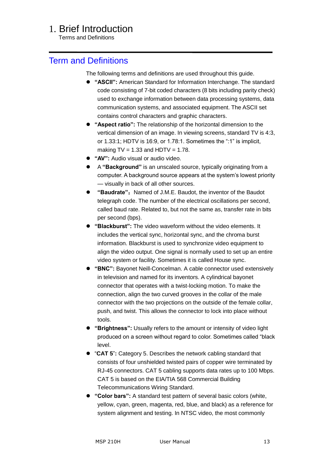Terms and Definitions

#### <span id="page-12-0"></span>[Term and Definitions](#page-9-3)

The following terms and definitions are used throughout this guide.

- **"ASCII":** American Standard for Information Interchange. The standard code consisting of 7-bit coded characters (8 bits including parity check) used to exchange information between data processing systems, data communication systems, and associated equipment. The ASCII set contains control characters and graphic characters.
- **"Aspect ratio":** The relationship of the horizontal dimension to the vertical dimension of an image. In viewing screens, standard TV is 4:3, or  $1.33:1$ ; HDTV is  $16:9$ , or  $1.78:1$ . Sometimes the ":1" is implicit, making  $TV = 1.33$  and  $HDTV = 1.78$ .
- **"AV":** Audio visual or audio video.
- A **"Background"** is an unscaled source, typically originating from a computer. A background source appears at the system's lowest priority — visually in back of all other sources.
- **"Baudrate":** Named of J.M.E. Baudot, the inventor of the Baudot telegraph code. The number of the electrical oscillations per second, called baud rate. Related to, but not the same as, transfer rate in bits per second (bps).
- **"Blackburst":** The video waveform without the video elements. It includes the vertical sync, horizontal sync, and the chroma burst information. Blackburst is used to synchronize video equipment to align the video output. One signal is normally used to set up an entire video system or facility. Sometimes it is called House sync.
- **"BNC":** Bayonet Neill-Concelman. A cable connector used extensively in television and named for its inventors. A cylindrical bayonet connector that operates with a twist-locking motion. To make the connection, align the two curved grooves in the collar of the male connector with the two projections on the outside of the female collar, push, and twist. This allows the connector to lock into place without tools.
- **"Brightness":** Usually refers to the amount or intensity of video light produced on a screen without regard to color. Sometimes called "black" level.
- ―**CAT 5**‖**:** Category 5. Describes the network cabling standard that consists of four unshielded twisted pairs of copper wire terminated by RJ-45 connectors. CAT 5 cabling supports data rates up to 100 Mbps. CAT 5 is based on the EIA/TIA 568 Commercial Building Telecommunications Wiring Standard.
- **"Color bars":** A standard test pattern of several basic colors (white, yellow, cyan, green, magenta, red, blue, and black) as a reference for system alignment and testing. In NTSC video, the most commonly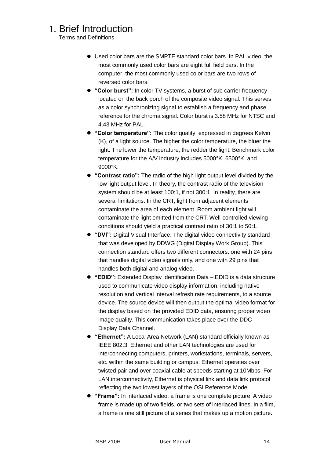Terms and Definitions

- Used color bars are the SMPTE standard color bars. In PAL video, the most commonly used color bars are eight full field bars. In the computer, the most commonly used color bars are two rows of reversed color bars.
- **"Color burst":** In color TV systems, a burst of sub carrier frequency located on the back porch of the composite video signal. This serves as a color synchronizing signal to establish a frequency and phase reference for the chroma signal. Color burst is 3.58 MHz for NTSC and 4.43 MHz for PAL.
- **"Color temperature":** The color quality, expressed in degrees Kelvin (K), of a light source. The higher the color temperature, the bluer the light. The lower the temperature, the redder the light. Benchmark color temperature for the A/V industry includes 5000°K, 6500°K, and 9000°K.
- **"Contrast ratio":** The radio of the high light output level divided by the low light output level. In theory, the contrast radio of the television system should be at least 100:1, if not 300:1. In reality, there are several limitations. In the CRT, light from adjacent elements contaminate the area of each element. Room ambient light will contaminate the light emitted from the CRT. Well-controlled viewing conditions should yield a practical contrast ratio of 30:1 to 50:1.
- **"DVI":** Digital Visual Interface. The digital video connectivity standard that was developed by DDWG (Digital Display Work Group). This connection standard offers two different connectors: one with 24 pins that handles digital video signals only, and one with 29 pins that handles both digital and analog video.
- **"EDID":** Extended Display Identification Data EDID is a data structure used to communicate video display information, including native resolution and vertical interval refresh rate requirements, to a source device. The source device will then output the optimal video format for the display based on the provided EDID data, ensuring proper video image quality. This communication takes place over the DDC – Display Data Channel.
- **"Ethernet":** A Local Area Network (LAN) standard officially known as IEEE 802.3. Ethernet and other LAN technologies are used for interconnecting computers, printers, workstations, terminals, servers, etc. within the same building or campus. Ethernet operates over twisted pair and over coaxial cable at speeds starting at 10Mbps. For LAN interconnectivity, Ethernet is physical link and data link protocol reflecting the two lowest layers of the OSI Reference Model.
- **"Frame":** In interlaced video, a frame is one complete picture. A video frame is made up of two fields, or two sets of interlaced lines. In a film, a frame is one still picture of a series that makes up a motion picture.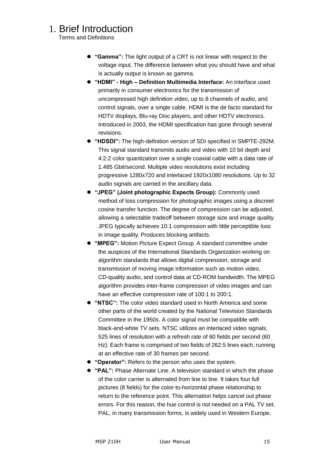Terms and Definitions

- **"Gamma":** The light output of a CRT is not linear with respect to the voltage input. The difference between what you should have and what is actually output is known as gamma.
- **"HDMI" - High – Definition Multimedia Interface:** An interface used primarily in consumer electronics for the transmission of uncompressed high definition video, up to 8 channels of audio, and control signals, over a single cable. HDMI is the de facto standard for HDTV displays, Blu-ray Disc players, and other HDTV electronics. Introduced in 2003, the HDMI specification has gone through several revisions.
- **"HDSDI":** The high-definition version of SDI specified in SMPTE-292M. This signal standard transmits audio and video with 10 bit depth and 4:2:2 color quantization over a single coaxial cable with a data rate of 1.485 Gbit/second. Multiple video resolutions exist including progressive 1280x720 and interlaced 1920x1080 resolutions. Up to 32 audio signals are carried in the ancillary data.
- **"JPEG" (Joint photographic Expects Group):** Commonly used method of loss compression for photographic images using a discreet cosine transfer function. The degree of compression can be adjusted, allowing a selectable tradeoff between storage size and image quality. JPEG typically achieves 10:1 compression with little perceptible loss in image quality. Produces blocking artifacts.
- **"MPEG":** Motion Picture Expect Group. A standard committee under the auspices of the International Standards Organization working on algorithm standards that allows digital compression, storage and transmission of moving image information such as motion video, CD-quality audio, and control data at CD-ROM bandwidth. The MPEG algorithm provides inter-frame compression of video images and can have an effective compression rate of 100:1 to 200:1.
- **"NTSC":** The color video standard used in North America and some other parts of the world created by the National Television Standards Committee in the 1950s. A color signal must be compatible with black-and-white TV sets. NTSC utilizes an interlaced video signals, 525 lines of resolution with a refresh rate of 60 fields per second (60 Hz). Each frame is comprised of two fields of 262.5 lines each, running at an effective rate of 30 frames per second.
- **"Operator":** Refers to the person who uses the system.
- **"PAL":** Phase Alternate Line. A television standard in which the phase of the color carrier is alternated from line to line. It takes four full pictures (8 fields) for the color-to-horizontal phase relationship to return to the reference point. This alternation helps cancel out phase errors. For this reason, the hue control is not needed on a PAL TV set. PAL, in many transmission forms, is widely used in Western Europe,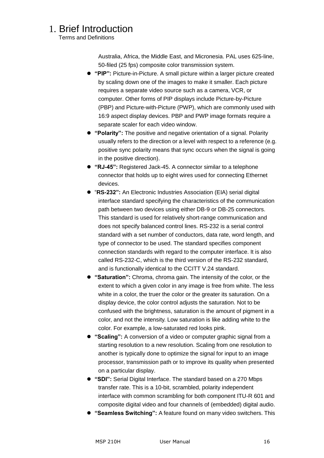Terms and Definitions

Australia, Africa, the Middle East, and Micronesia. PAL uses 625-line, 50-filed (25 fps) composite color transmission system.

- **"PIP":** Picture-in-Picture. A small picture within a larger picture created by scaling down one of the images to make it smaller. Each picture requires a separate video source such as a camera, VCR, or computer. Other forms of PIP displays include Picture-by-Picture (PBP) and Picture-with-Picture (PWP), which are commonly used with 16:9 aspect display devices. PBP and PWP image formats require a separate scaler for each video window.
- **"Polarity":** The positive and negative orientation of a signal. Polarity usually refers to the direction or a level with respect to a reference (e.g. positive sync polarity means that sync occurs when the signal is going in the positive direction).
- **"RJ-45":** Registered Jack-45. A connector similar to a telephone connector that holds up to eight wires used for connecting Ethernet devices.
- "RS-232": An Electronic Industries Association (EIA) serial digital interface standard specifying the characteristics of the communication path between two devices using either DB-9 or DB-25 connectors. This standard is used for relatively short-range communication and does not specify balanced control lines. RS-232 is a serial control standard with a set number of conductors, data rate, word length, and type of connector to be used. The standard specifies component connection standards with regard to the computer interface. It is also called RS-232-C, which is the third version of the RS-232 standard, and is functionally identical to the CCITT V.24 standard.
- **"Saturation":** Chroma, chroma gain. The intensity of the color, or the extent to which a given color in any image is free from white. The less white in a color, the truer the color or the greater its saturation. On a display device, the color control adjusts the saturation. Not to be confused with the brightness, saturation is the amount of pigment in a color, and not the intensity. Low saturation is like adding white to the color. For example, a low-saturated red looks pink.
- **"Scaling":** A conversion of a video or computer graphic signal from a starting resolution to a new resolution. Scaling from one resolution to another is typically done to optimize the signal for input to an image processor, transmission path or to improve its quality when presented on a particular display.
- **"SDI":** Serial Digital Interface. The standard based on a 270 Mbps transfer rate. This is a 10-bit, scrambled, polarity independent interface with common scrambling for both component ITU-R 601 and composite digital video and four channels of (embedded) digital audio.
- **"Seamless Switching":** A feature found on many video switchers. This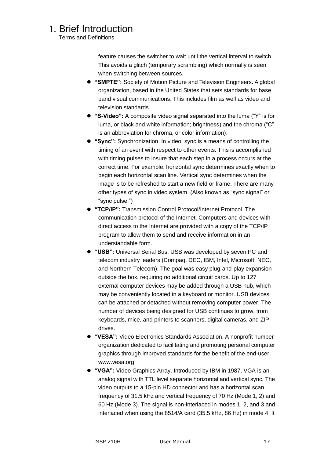Terms and Definitions

feature causes the switcher to wait until the vertical interval to switch. This avoids a glitch (temporary scrambling) which normally is seen when switching between sources.

- **"SMPTE":** Society of Motion Picture and Television Engineers. A global organization, based in the United States that sets standards for base band visual communications. This includes film as well as video and television standards.
- "S-Video": A composite video signal separated into the luma ("Y" is for luma, or black and white information; brightness) and the chroma ("C" is an abbreviation for chroma, or color information).
- **"Sync":** Synchronization. In video, sync is a means of controlling the timing of an event with respect to other events. This is accomplished with timing pulses to insure that each step in a process occurs at the correct time. For example, horizontal sync determines exactly when to begin each horizontal scan line. Vertical sync determines when the image is to be refreshed to start a new field or frame. There are many other types of sync in video system. (Also known as "sync signal" or ―sync pulse.‖)
- **"TCP/IP":** Transmission Control Protocol/Internet Protocol. The communication protocol of the Internet. Computers and devices with direct access to the Internet are provided with a copy of the TCP/IP program to allow them to send and receive information in an understandable form.
- **"USB":** Universal Serial Bus. USB was developed by seven PC and telecom industry leaders (Compaq, DEC, IBM, Intel, Microsoft, NEC, and Northern Telecom). The goal was easy plug-and-play expansion outside the box, requiring no additional circuit cards. Up to 127 external computer devices may be added through a USB hub, which may be conveniently located in a keyboard or monitor. USB devices can be attached or detached without removing computer power. The number of devices being designed for USB continues to grow, from keyboards, mice, and printers to scanners, digital cameras, and ZIP drives.
- **"VESA":** Video Electronics Standards Association. A nonprofit number organization dedicated to facilitating and promoting personal computer graphics through improved standards for the benefit of the end-user. www.vesa.org
- **"VGA":** Video Graphics Array. Introduced by IBM in 1987, VGA is an analog signal with TTL level separate horizontal and vertical sync. The video outputs to a 15-pin HD connector and has a horizontal scan frequency of 31.5 kHz and vertical frequency of 70 Hz (Mode 1, 2) and 60 Hz (Mode 3). The signal is non-interlaced in modes 1, 2, and 3 and interlaced when using the 8514/A card (35.5 kHz, 86 Hz) in mode 4. It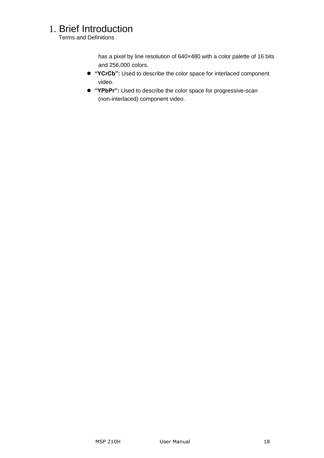Terms and Definitions

has a pixel by line resolution of 640×480 with a color palette of 16 bits and 256,000 colors.

- **"YCrCb":** Used to describe the color space for interlaced component video.
- **"YPbPr":** Used to describe the color space for progressive-scan (non-interlaced) component video.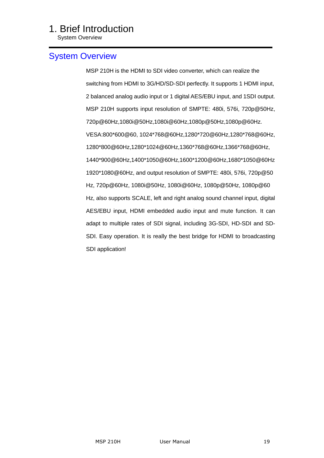System Overview

#### <span id="page-18-0"></span>[System Overview](#page-9-4)

MSP 210H is the HDMI to SDI video converter, which can realize the switching from HDMI to 3G/HD/SD-SDI perfectly. It supports 1 HDMI input, 2 balanced analog audio input or 1 digital AES/EBU input, and 1SDI output. MSP 210H supports input resolution of SMPTE: 480i, 576i, 720p@50Hz, 720p@60Hz,1080i@50Hz,1080i@60Hz,1080p@50Hz,1080p@60Hz. VESA:800\*600@60, 1024\*768@60Hz,1280\*720@60Hz,1280\*768@60Hz, 1280\*800@60Hz,1280\*1024@60Hz,1360\*768@60Hz,1366\*768@60Hz, 1440\*900@60Hz,1400\*1050@60Hz,1600\*1200@60Hz,1680\*1050@60Hz 1920\*1080@60Hz, and output resolution of SMPTE: 480i, 576i, 720p@50 Hz, 720p@60Hz, 1080i@50Hz, 1080i@60Hz, 1080p@50Hz, 1080p@60 Hz, also supports SCALE, left and right analog sound channel input, digital AES/EBU input, HDMI embedded audio input and mute function. It can adapt to multiple rates of SDI signal, including 3G-SDI, HD-SDI and SD-SDI. Easy operation. It is really the best bridge for HDMI to broadcasting SDI application!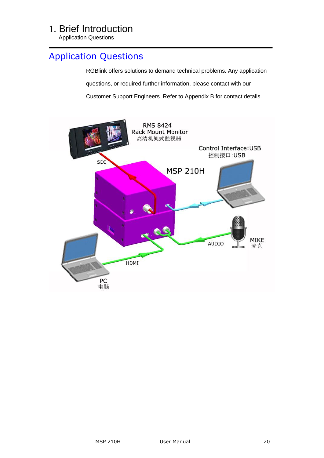Application Questions

### <span id="page-19-0"></span>[Application Questions](#page-9-5)

RGBlink offers solutions to demand technical problems. Any application questions, or required further information, please contact with our Customer Support Engineers. Refer to Appendix B for contact details.

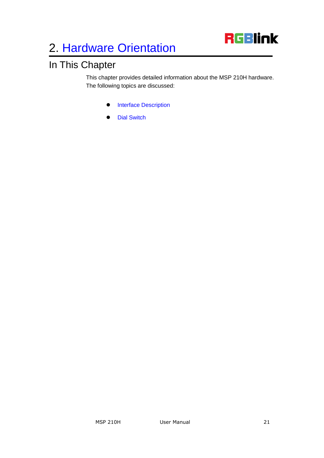

## <span id="page-20-2"></span><span id="page-20-1"></span><span id="page-20-0"></span>In This Chapter

<span id="page-20-3"></span>This chapter provides detailed information about the MSP 210H hardware. The following topics are discussed:

- **•** [Interface Description](#page-21-5)
- [Dial Switch](#page-23-2)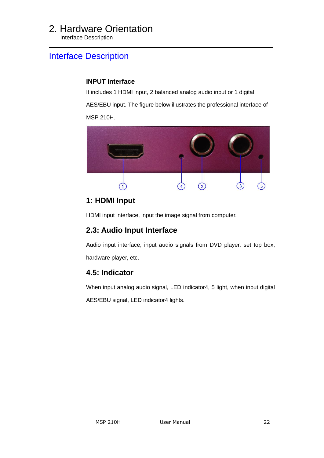<span id="page-21-0"></span>Interface Description

#### <span id="page-21-5"></span><span id="page-21-1"></span>[Interface Description](#page-20-2)

#### **INPUT Interface**

It includes 1 HDMI input, 2 balanced analog audio input or 1 digital

AES/EBU input. The figure below illustrates the professional interface of MSP 210H.



#### <span id="page-21-2"></span>**1: HDMI Input**

HDMI input interface, input the image signal from computer.

#### <span id="page-21-3"></span>**2.3: Audio Input Interface**

Audio input interface, input audio signals from DVD player, set top box, hardware player, etc.

#### <span id="page-21-4"></span>**4.5: Indicator**

When input analog audio signal, LED indicator4, 5 light, when input digital

AES/EBU signal, LED indicator4 lights.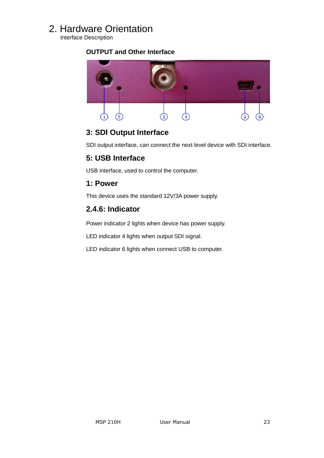<span id="page-22-0"></span>Interface Description

#### **OUTPUT and Other Interface**



#### <span id="page-22-1"></span>**3: SDI Output Interface**

SDI output interface, can connect the next level device with SDI interface.

#### <span id="page-22-2"></span>**5: USB Interface**

USB interface, used to control the computer.

#### <span id="page-22-3"></span>**1: Power**

This device uses the standard 12V/3A power supply.

#### <span id="page-22-4"></span>**2.4.6: Indicator**

Power indicator 2 lights when device has power supply.

LED indicator 4 lights when output SDI signal.

LED indicator 6 lights when connect USB to computer.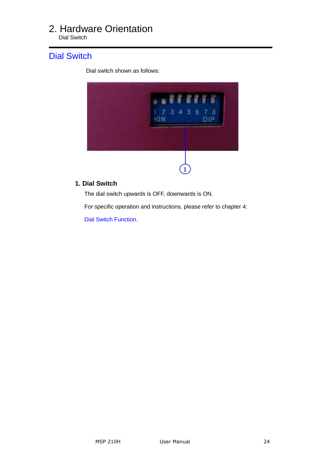<span id="page-23-0"></span>Dial Switch

#### <span id="page-23-2"></span>[Dial Switch](#page-20-3)

Dial switch shown as follows:



#### <span id="page-23-1"></span> **1. Dial Switch**

The dial switch upwards is OFF, downwards is ON.

For specific operation and instructions, please refer to chapter 4:

[Dial Switch Function.](#page-25-0)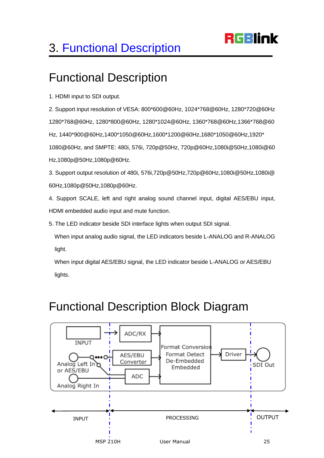# **RGBlink**

# <span id="page-24-0"></span>3. [Functional Description](#page-10-3)

## <span id="page-24-1"></span>Functional Description

1. HDMI input to SDI output.

2. Support input resolution of VESA: 800\*600@60Hz, 1024\*768@60Hz, 1280\*720@60Hz 1280\*768@60Hz, 1280\*800@60Hz, 1280\*1024@60Hz, 1360\*768@60Hz,1366\*768@60 Hz, 1440\*900@60Hz,1400\*1050@60Hz,1600\*1200@60Hz,1680\*1050@60Hz,1920\* 1080@60Hz, and SMPTE: 480i, 576i, 720p@50Hz, 720p@60Hz,1080i@50Hz,1080i@60 Hz,1080p@50Hz,1080p@60Hz.

3. Support output resolution of 480i, 576i,720p@50Hz,720p@60Hz,1080i@50Hz,1080i@ 60Hz,1080p@50Hz,1080p@60Hz.

4. Support SCALE, left and right analog sound channel input, digital AES/EBU input, HDMI embedded audio input and mute function.

5. The LED indicator beside SDI interface lights when output SDI signal.

When input analog audio signal, the LED indicators beside L-ANALOG and R-ANALOG light.

 When input digital AES/EBU signal, the LED indicator beside L-ANALOG or AES/EBU lights.

## <span id="page-24-2"></span>Functional Description Block Diagram

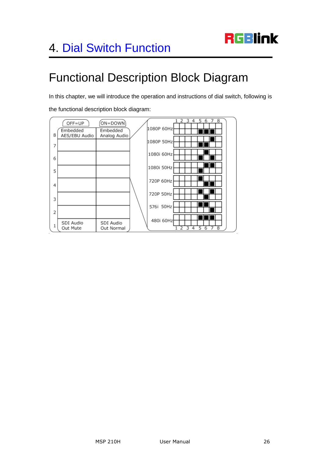## <span id="page-25-1"></span><span id="page-25-0"></span>Functional Description Block Diagram

In this chapter, we will introduce the operation and instructions of dial switch, following is

the functional description block diagram:

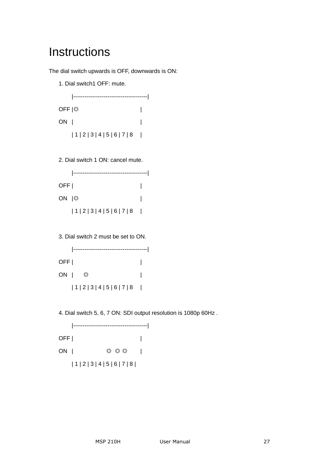## <span id="page-26-0"></span>**Instructions**

The dial switch upwards is OFF, downwards is ON:

1. Dial switch1 OFF: mute.

|---------------------------------------| OFF |◎ | ON | |  $|1|2|3|4|5|6|7|8|$ 

2. Dial switch 1 ON: cancel mute.

|       | ----------      |  |
|-------|-----------------|--|
| OFF   |                 |  |
| ON 10 |                 |  |
|       | 1 2 3 4 5 6 7 8 |  |

3. Dial switch 2 must be set to ON.



4. Dial switch 5, 6, 7 ON: SDI output resolution is 1080p 60Hz .

|---------------------------------------| OFF | | ON | ◎ ◎ ◎ | | 1 | 2 | 3 | 4 | 5 | 6 | 7 | 8 |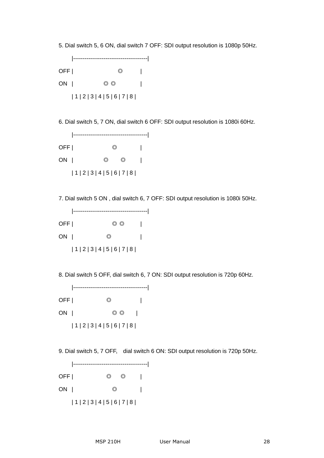5. Dial switch 5, 6 ON, dial switch 7 OFF: SDI output resolution is 1080p 50Hz.



6. Dial switch 5, 7 ON, dial switch 6 OFF: SDI output resolution is 1080i 60Hz.



7. Dial switch 5 ON , dial switch 6, 7 OFF: SDI output resolution is 1080i 50Hz.



8. Dial switch 5 OFF, dial switch 6, 7 ON: SDI output resolution is 720p 60Hz.

|---------------------------------------| OFF | | ON | ◎ ◎ | | 1 | 2 | 3 | 4 | 5 | 6 | 7 | 8 |

9. Dial switch 5, 7 OFF, dial switch 6 ON: SDI output resolution is 720p 50Hz.

|---------------------------------------| OFF | ◎ ◎ | ON | ◎ | | 1 | 2 | 3 | 4 | 5 | 6 | 7 | 8 |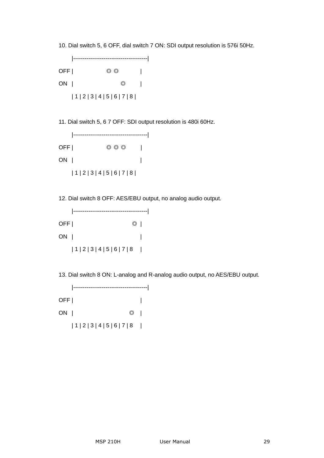10. Dial switch 5, 6 OFF, dial switch 7 ON: SDI output resolution is 576i 50Hz.



11. Dial switch 5, 6 7 OFF: SDI output resolution is 480i 60Hz.



12. Dial switch 8 OFF: AES/EBU output, no analog audio output.



13. Dial switch 8 ON: L-analog and R-analog audio output, no AES/EBU output.

|---------------------------------------| OFF | | ON | ◎ |  $|1|2|3|4|5|6|7|8$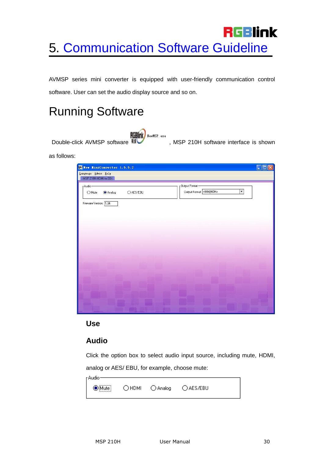# <span id="page-29-0"></span>**RGBlink** 5. [Communication Software Guideline](#page-10-5)

AVMSP series mini converter is equipped with user-friendly communication control software. User can set the audio display source and so on.

## <span id="page-29-1"></span>Running Software

ELLIAN NewMSP. exe<br>Double-click AVMSP software **RECONDENT REPORTS**, MSP 210H software interface is shown

as follows:

| New MiniConvertor 1.5.5.2<br>Language Admin Help |           |                                                                       | $\Box$ e |
|--------------------------------------------------|-----------|-----------------------------------------------------------------------|----------|
| MSP 210H HDMI to SDI                             |           |                                                                       |          |
| r Audio-<br>$O$ Mute<br>Analog                   | O AES/EBU | Output Format-<br>$\overline{\phantom{a}}$<br>Output Format 4801@60Hz |          |
| Fireware Version: 1.04                           |           |                                                                       |          |
|                                                  |           |                                                                       |          |
|                                                  |           |                                                                       |          |
|                                                  |           |                                                                       |          |
|                                                  |           |                                                                       |          |
|                                                  |           |                                                                       |          |
|                                                  |           |                                                                       |          |
|                                                  |           |                                                                       |          |
|                                                  |           |                                                                       |          |

#### <span id="page-29-2"></span>**Use**

#### <span id="page-29-3"></span>**Audio**

Click the option box to select audio input source, including mute, HDMI,

analog or AES/ EBU, for example, choose mute:

| Audio-    |  |  |                        |  |
|-----------|--|--|------------------------|--|
| iMute<br> |  |  | OHDMI OAnalog OAES/EBU |  |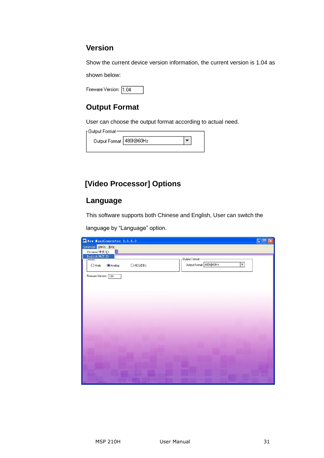#### <span id="page-30-0"></span>**Version**

Show the current device version information, the current version is 1.04 as

shown below:

Fireware Version: 1.04

#### <span id="page-30-1"></span>**Output Format**

User can choose the output format according to actual need.

| - Output Format           |  |  |  |  |
|---------------------------|--|--|--|--|
| Output Format   4801@60Hz |  |  |  |  |
|                           |  |  |  |  |

#### <span id="page-30-2"></span>**[Video Processor] Options**

#### <span id="page-30-3"></span>**Language**

This software supports both Chinese and English, User can switch the

language by "Language" option.

| New MiniConvertor 1.5.5.2                                  | ا هار _]<br>$\times$     |
|------------------------------------------------------------|--------------------------|
| Language Admin Help                                        |                          |
| Chinese/中文(C)                                              |                          |
| English/英文(E)<br>Output Format-                            |                          |
| <b>PAGUIO</b>                                              |                          |
| Output Format 4801@60Hz<br>O AES/EBU<br>Analog<br>$O$ Mute | $\overline{\phantom{0}}$ |
|                                                            |                          |
| Fireware Version: 1.04                                     |                          |
|                                                            |                          |
|                                                            |                          |
|                                                            |                          |
|                                                            |                          |
|                                                            |                          |
|                                                            |                          |
|                                                            |                          |
|                                                            |                          |
|                                                            |                          |
|                                                            |                          |
|                                                            |                          |
|                                                            |                          |
|                                                            |                          |
|                                                            |                          |
|                                                            |                          |
|                                                            |                          |
|                                                            |                          |
|                                                            |                          |
|                                                            |                          |
|                                                            |                          |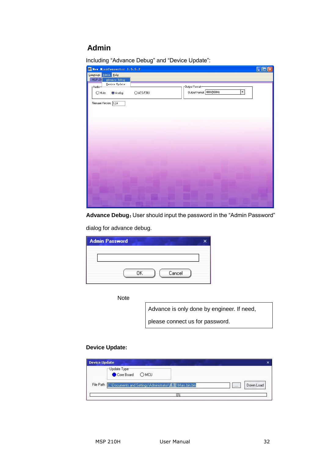#### <span id="page-31-0"></span> **Admin**

| New MiniConvertor 1.5.5.2                                                              | $\Box$ |
|----------------------------------------------------------------------------------------|--------|
| Language Admin Help                                                                    |        |
| <b>MSP 21</b><br>Advance Debug                                                         |        |
| Device Update<br><sub>Dutput</sub> Format-<br>r Audio-                                 |        |
| $\overline{\phantom{0}}$<br>Output Format 4801@60Hz<br>$O$ Mute<br>O AES/EBU<br>Analog |        |
|                                                                                        |        |
| Fireware Version: 1.04                                                                 |        |
|                                                                                        |        |
|                                                                                        |        |

Including "Advance Debug" and "Device Update":

Advance Debug: User should input the password in the "Admin Password"

dialog for advance debug.

| <b>Admin Password</b> |  |
|-----------------------|--|
|                       |  |
|                       |  |
| Cancel<br>ΟK          |  |

**Note** 

Advance is only done by engineer. If need,

please connect us for password.

#### **Device Update:**

| <b>Device Update</b>                                              | $\mathsf{x}$          |
|-------------------------------------------------------------------|-----------------------|
| Update Type<br>Core Board OMCU                                    |                       |
| File Path C:\Documents and Settings\Administrator\桌面\Mars.bin.bin | Down Load<br>$\cdots$ |
| $0\%$                                                             |                       |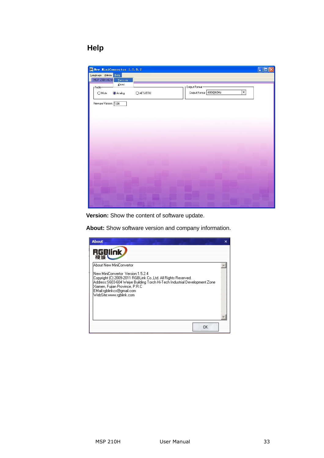#### <span id="page-32-0"></span> **Help**



**Version:** Show the content of software update.

**About:** Show software version and company information.

| <b>About</b>                                                                                                                                                                                                                                                                                           | x |
|--------------------------------------------------------------------------------------------------------------------------------------------------------------------------------------------------------------------------------------------------------------------------------------------------------|---|
| <b>RGBlink</b>                                                                                                                                                                                                                                                                                         |   |
| About New MiniConvertor<br>New MiniConvertor_Version:1.5.2.4<br>Copyright (C) 2009-2011 RGBLink Co.,Ltd. All Rights Reserved.<br> Address:S603-604 Weiye Building Torch Hi-Tech Industrial Development Zone <br>Xiamen, Fujian Province, P.R.C<br>EMail:rgblinkcs@gmail.com<br>WebSite:www.rgblink.com |   |
| ΩK                                                                                                                                                                                                                                                                                                     |   |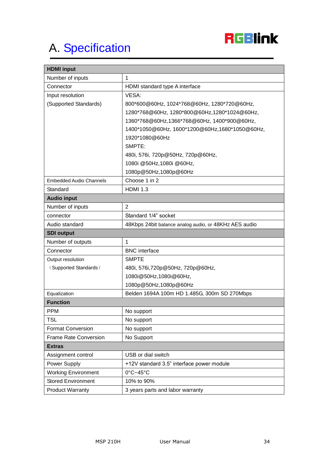

# <span id="page-33-0"></span>A. [Specification](#page-10-6)

| <b>HDMI</b> input              |                                                       |  |
|--------------------------------|-------------------------------------------------------|--|
| Number of inputs               | $\mathbf{1}$                                          |  |
| Connector                      | HDMI standard type A interface                        |  |
| Input resolution               | VESA:                                                 |  |
| (Supported Standards)          | 800*600@60Hz, 1024*768@60Hz, 1280*720@60Hz,           |  |
|                                | 1280*768@60Hz, 1280*800@60Hz,1280*1024@60Hz,          |  |
|                                | 1360*768@60Hz,1366*768@60Hz, 1400*900@60Hz,           |  |
|                                | 1400*1050@60Hz, 1600*1200@60Hz,1680*1050@60Hz,        |  |
|                                | 1920*1080@60Hz                                        |  |
|                                | SMPTE:                                                |  |
|                                | 480i, 576i, 720p@50Hz, 720p@60Hz,                     |  |
|                                | 1080i @50Hz,1080i @60Hz,                              |  |
|                                | 1080p@50Hz,1080p@60Hz                                 |  |
| <b>Embedded Audio Channels</b> | Choose 1 in 2                                         |  |
| Standard                       | <b>HDMI 1.3</b>                                       |  |
| <b>Audio input</b>             |                                                       |  |
| Number of inputs               | $\overline{2}$                                        |  |
| connector                      | Standard 1/4" socket                                  |  |
| Audio standard                 | 48Kbps 24bit balance analog audio, or 48KHz AES audio |  |
| <b>SDI output</b>              |                                                       |  |
| Number of outputs              | $\mathbf 1$                                           |  |
| Connector                      | <b>BNC</b> interface                                  |  |
| Output resolution              | <b>SMPTE</b>                                          |  |
| (Supported Standards)          | 480i, 576i, 720p@50Hz, 720p@60Hz,                     |  |
|                                | 1080i@50Hz,1080i@60Hz,                                |  |
|                                | 1080p@50Hz,1080p@60Hz                                 |  |
| Equalization                   | Belden 1694A 100m HD 1.485G, 300m SD 270Mbps          |  |
| <b>Function</b>                |                                                       |  |
| <b>PPM</b>                     | No support                                            |  |
| <b>TSL</b>                     | No support                                            |  |
| <b>Format Conversion</b>       | No support                                            |  |
| <b>Frame Rate Conversion</b>   | No Support                                            |  |
| <b>Extras</b>                  |                                                       |  |
| Assignment control             | USB or dial switch                                    |  |
| Power Supply                   | +12V standard 3.5" interface power module             |  |
| <b>Working Environment</b>     | $0^{\circ}$ C~45 $^{\circ}$ C                         |  |
| <b>Stored Environment</b>      | 10% to 90%                                            |  |
| <b>Product Warranty</b>        | 3 years parts and labor warranty                      |  |